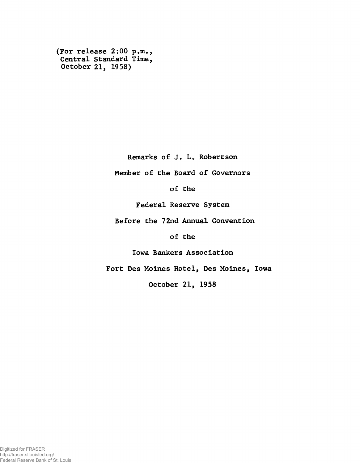**(For release 2:00 p.m., Central Standard Time, October 21, 1958)**

**Remarks of J. L. Robertson**

**Member of the Board of Governors**

**of the**

**Federal Reserve System**

**Before the 72nd Annual Convention**

**of the**

**Iowa Bankers Association**

**Fort Des Moines Hotel, Des Moines, Iowa**

**October 21, 1958**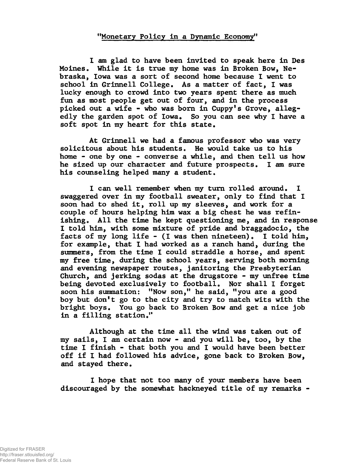## **"Monetary Policy in a Dynamic Economy"**

**I am glad to have been invited to speak here in Des Moines. While it is true my home was in Broken Bow, Nebraska, Iowa was a sort of second home because I went to school in Grinnell College. As a matter of fact, I was lucky enough to crowd into two years spent there as much fun as most people get out of four, and in the process** picked out a wife - who was born in Cuppy's Grove, allegedly the garden spot of Iowa. So you can see why I have a **soft spot in my heart for this state.**

**At Grinnell we had a famous professor who was very solicitous about his students. He would take us to his home - one by one - converse a while, and then tell us how he sized up our character and future prospects. I am sure his counseling helped many a student.**

**I can well remember when my turn rolled around. I swaggered over in my football sweater, only to find that I soon had to shed it, roll up my sleeves, and work for a couple of hours helping him wax a big chest he was refin**ishing. All the time he kept questioning me, and in response **I told him, with some mixture of pride and braggadocio, the facts of my long life - (I was then nineteen). I told him, for example, that I had worked as a ranch hand, during the summers, from the time I could straddle a horse, and spent my free time, during the school years, serving both morning and evening newspaper routes, janitoring the Presbyterian Church, and jerking sodas at the drugstore - my unfree time being devoted exclusively to football. Nor shall I forget soon his summation: "Now son," he said, "you are a good boy but don't go to the city and try to match wits with the bright boys. You go back to Broken Bow and get a nice job in a filling station."**

**Although at the time all the wind was taken out of my sails, I am certain now - and you will be, too, by the time I finish - that both you and I would have been better off if I had followed his advice, gone back to Broken Bow, and stayed there.**

**I hope that not too many of your members have been discouraged by the somewhat hackneyed title of my remarks -**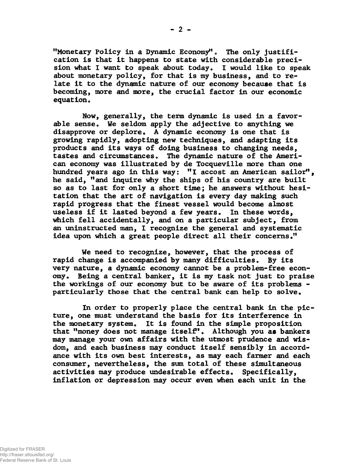"Monetary Policy in a Dynamic Economy". The only justifi**cation is that it happens to state with considerable precision what I want to speak about today. I would like to speak about monetary policy, for that is my business, and to relate it to the dynamic nature of our economy because that is becoming, more and more, the crucial factor in our economic equation.**

**Now, generally, the term dynamic is used in a favorable sense. We seldom apply the adjective to anything we disapprove or deplore. A dynamic economy is one that is growing rapidly, adopting new techniques, and adapting its products and its ways of doing business to changing needs, tastes and circumstances» The dynamic nature of the American economy was illustrated by de Tocqueville more than one hundred years ago in this way: "I accost an American sailor", he said, "and inquire why the ships of his country are built so as to last for only a short time; he answers without hesitation that the art of navigation is every day making such rapid progress that the finest vessel would become almost useless if it lasted beyond a few years. In these words, which fell accidentally, and on a particular subject, from an uninstructed man, I recognize the general and systematic idea upon which a great people direct all their concerns."**

**We need to recognize, however, that the process of rapid change is accompanied by many difficulties. By its very nature, a dynamic economy cannot be a problem-free economy. Being a central banker, it is my task not just to praise the workings of our economy but to be aware of its problems particularly those that the central bank can help to solve.**

**In order to properly place the central bank in the picture, one must understand the basis for its interference in the monetary system. It is found in the simple proposition that "money does not manage itself. Although you as bankers may manage your own affairs with the utmost prudence and wisdom, and each business may conduct itself sensibly in accordance with its own best interests, as may each fanner and each consumer, nevertheless, the sum total of these simultaneous activities may produce undesirable effects. Specifically, inflation or depression may occur even when each unit in the**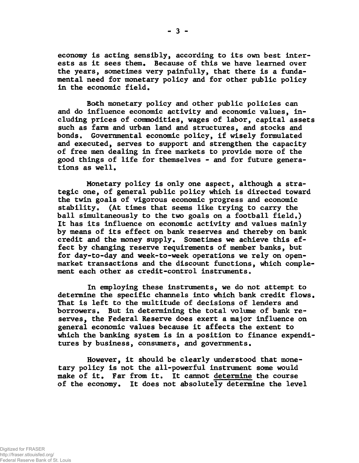**economy is acting sensibly, according to its own best interests as it sees them. Because of this we have learned over the years, sometimes very painfully, that there is a fundamental need for monetary policy and for other public policy in the economic field.**

**Bath monetary policy and other public policies can and do influence economic activity and economic values, including prices of commodities, wages of labor, capital assets such as farm and urban land and structures, and stocks and bonds. Governmental economic policy, if wisely formulated and executed, serves to support and strengthen the capacity of free men dealing in free markets to provide more of the good things of life for themselves - and for future generations as well.**

**Monetary policy is only one aspect, although a strategic one, of general public policy which is directed toward the twin goals of vigorous economic progress and economic stability. (At times that seems like trying to carry the ball simultaneously to the two goals on a football field.) It has its influence on economic activity and values mainly by means of its effect on bank reserves and thereby on bank credit and the money supply. Sometimes we achieve this effect by changing reserve requirements of member banks, but for day-to-day and week-to-week operations we rely on openmarket transactions and the discount functions, which complement each other as credit-control instruments.**

**In employing these instruments, we do not attempt to determine the specific channels into which bank credit flows. That is left to the multitude of decisions of lenders and borrowers. But in determining the total volume of bank reserves, the Federal Reserve does exert a major influence on general economic values because it affects the extent to which the banking system is in a position to finance expenditures by business, consumers, and governments.**

**However, it should be clearly understood that monetary policy is not the all-powerful instrument some would make of it. Far from it. It cannot determine the course of the economy. It does not absolutely determine the level**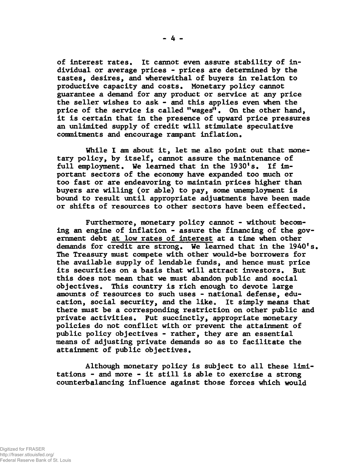**of interest rates. It cannot even assure stability of individual or average prices - prices are determined by the tastes, desires, and wherewithal of buyers in relation to productive capacity and costs. Monetary policy cannot guarantee a demand for any product or service at any price the seller wishes to ask - and this applies even when the price of the service is called "wages" • On the other hand, it is certain that in the presence of upward price pressures an unlimited supply of credit will stimulate speculative commitments and encourage rampant inflation.**

**While I am about it, let me also point out that monetary policy, by itself, cannot assure the maintenance of full employment. We learned that in the 1930's. If important sectors of the economy have expanded too much or too fast or are endeavoring to maintain prices higher than buyers are willing (or able) to pay, some unemployment is bound to result until appropriate adjustments have been made or shifts of resources to other sectors have been effected.**

**Furthermore, monetary policy cannot - without becoming an engine of inflation - assure the financing of the government debt at low rates of Interest at a time when other demands for credit are strong. We learned that in the 1940's. The Treasury must compete with other would-be borrowers for the available supply of lendable funds, and hence must price its securities on a basis that will attract investors. But this does not mean that we must abandon public and social objectives. This country is rich enough to devote large amounts of resources to such uses - national defense, education, social security, and the like. It simply means that there must be a corresponding restriction on other public and private activities. Put succinctly, appropriate monetary policies do not conflict with or prevent the attainment of public policy objectives - rather, they are an essential means of adjusting private demands so as to facilitate the attainment of public objectives.**

**Although monetary policy is subject to all these limitations - and more - it still is able to exercise a strong counterbalancing influence against those forces which would**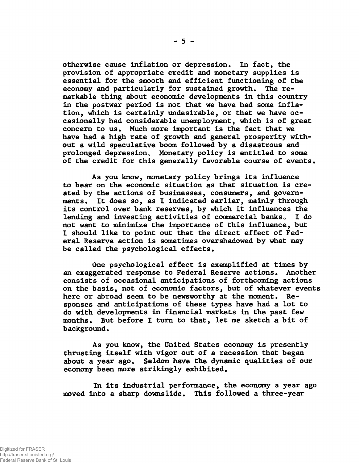**otherwise cause inflation or depression. In fact, the provision of appropriate credit and monetary supplies is essential for the smooth and efficient functioning of the economy and particularly for sustained growth. The remarkable thing about economic developments in this country in the postwar period is not that we have had some inflation, which is certainly undesirable, or that we have occasionally had considerable unemployment, which is of great concern to us. Much more important is the fact that we have had a high rate of growth and general prosperity without a wild speculative boom followed by a disastrous and prolonged depression. Monetary policy is entitled to some of the credit for this generally favorable course of events.**

**As you know, monetary policy brings its influence to bear on the economic situation as that situation is created by the actions of businesses, consumers, and governments. It does so, as I indicated earlier, mainly through its control over bank reserves, by which it influences the lending and investing activities of commercial banks. I do not want to minimize the importance of this influence, but I should like to point out that the direct effect of Federal Reserve action is sometimes overshadowed by what may be called the psychological effects.**

**One psychological effect is exemplified at times by an exaggerated response to Federal Reserve actions. Another consists of occasional anticipations of forthcoming actions on the basis, not of economic factors, but of whatever events here or abroad seem to be newsworthy at the moment. Responses and anticipations of these types have had a lot to do with developments in financial markets in the past few months. But before I turn to that, let me sketch a bit of background.**

**As you know, the United States economy is presently thrusting itself with vigor out of a recession that began about a year ago. Seldom have the dynamic qualities of our economy been more strikingly exhibited.**

**In its industrial performance, the economy a year ago moved into a sharp downslide. This followed a three-year**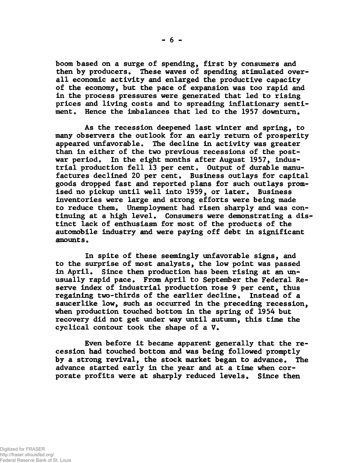**boom based on a surge of spending, first by consumers and then by producers. These waves of spending stimulated overall economic activity and enlarged the productive capacity of the economy, but the pace of expansion was too rapid and in the process pressures were generated that led to rising prices and living costs and to spreading inflationary sentiment. Hence the imbalances that led to the 1957 downturn.**

**As the recession deepened last winter and spring, to many observers the outlook for an early return of prosperity appeared unfavorable. The decline in activity was greater than in either of the two previous recessions of the postwar period. In the eight months after August 1957, industrial production fell 13 per cent. Output of durable manufactures declined 20 per cent. Business outlays for capital goods dropped fast and reported plans for such outlays promised no pickup until well into 1959, or later. Business inventories were large and strong efforts were being made to reduce them. Unemployment had risen sharply and was continuing at a high level. Consumers were demonstrating a distinct lack of enthusiasm for most of the products of the automobile industry and were paying off debt in significant amounts.**

**In spite of these seemingly unfavorable signs, and to the surprise of most analysts, the low point was passed in April. Since then production has been rising at an unusually rapid pace. From April to September the Federal Reserve index of industrial production rose 9 per cent, thus regaining two-thirds of the earlier decline. Instead of a saucerlike low, such as occurred in the preceding recession, when production touched bottom in the spring of 1954 but recovery did not get under way until autumn, this time the cyclical contour took the shape of a V.**

**Even before it became apparent generally that the recession had touched bottom and was being followed promptly by a strong revival, the stock market began to advance. The advance started early in the year and at a time when corporate profits were at sharply reduced levels. Since then**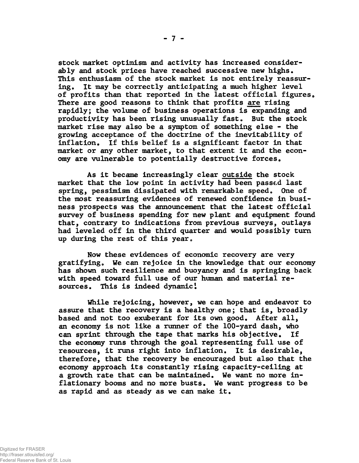**stock market optimism and activity has increased considerably and stock prices have reached successive new highs. This enthusiasm of the stock market is not entirely reassuring. It may be correctly anticipating a much higher level** of profits than that reported in the latest official figures. **There are good reasons to think that profits are rising rapidly; the volume of business operations is expanding and productivity has been rising unusually fast. But the stock market rise may also be a symptom of something else - the growing acceptance of the doctrine of the inevitability of inflation. If this belief is a significant factor in that market or any other market, to that extent it and the economy are vulnerable to potentially destructive forces.**

**As it became increasingly clear outside the stock market that the low point in activity had been passed last spring, pessimism dissipated with remarkable speed. One of the most reassuring evidences of renewed confidence in business prospects was the announcement that the latest official survey of business spending for new plant and equipment found that, contrary to indications from previous surveys, outlays had leveled off in the third quarter and would possibly turn up during the rest of this year.**

**Now these evidences of economic recovery are very gratifying. We can rejoice in the knowledge that our economy has shown such resilience and buoyancy and is springing back with speed toward full use of our human and material resources. This is indeed dynamic1**

**While rejoicing, however, we can hope and endeavor to assure that the recovery is a healthy one; that is, broadly based and not too exuberant for its own good. After all, an economy is not like a runner of the 100-yard dash, who can sprint through the tape that marks his objective. If the economy runs through the goal representing full use of resources, it runs right into inflation. It is desirable, therefore, that the recovery be encouraged but also that the economy approach its constantly rising capacity-ceiling at a growth rate that can be maintained. We want no more inflationary booms and no more busts. We want progress to be as rapid and as steady as we can make it.**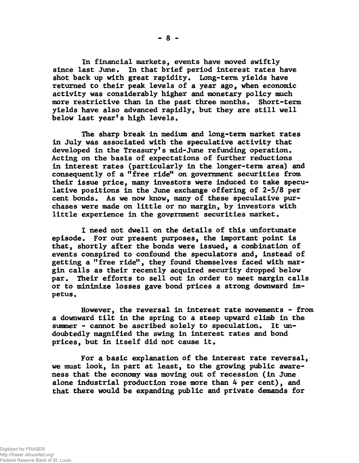**In financial markets, events have moved swiftly since last June. In that brief period interest rates have shot back up with great rapidity. Long-term yields have returned to their peak levels of a year ago, when economic activity was considerably higher and monetary policy much more restrictive than in the past three months. Short-term yields have also advanced rapidly, but they are still well below last year's high levels.**

**The sharp break in medium and long-term market rates in July was associated with the speculative activity that developed in the Treasury's mid-June refunding operation. Acting on the basis of expectations of further reductions in interest rates (particularly in the longer-term area) and consequently of a "free ride" on government securities from their issue price, many investors were induced to take speculative positions in the June exchange offering of 2-5/8 per cent bonds. As we now know, many of these speculative purchases were made on little or no margin, by investors with little experience in the government securities market.**

**I need not dwell on the details of this unfortunate episode. For our present purposes, the important point is that, shortly after the bonds were issued, a combination of events conspired to confound the speculators and, instead of getting a "free ride", they found themselves faced with margin calls as their recently acquired security dropped below par. Their efforts to sell out in order to meet margin calls or to minimize losses gave bond prices a strong downward impetus .**

**However, the reversal in interest rate movements - from a downward tilt in the spring to a steep upward climb in the summer - cannot be ascribed solely to speculation. It undoubtedly magnified the swing in interest rates and bond prices, but in itself did not cause it.**

**For a basic explanation of the interest rate reversal, we must look, in part at least, to the growing public awareness that the economy was moving out of recession (in June alone industrial production rose more than 4 per cent), and that there would be expanding public and private demands for**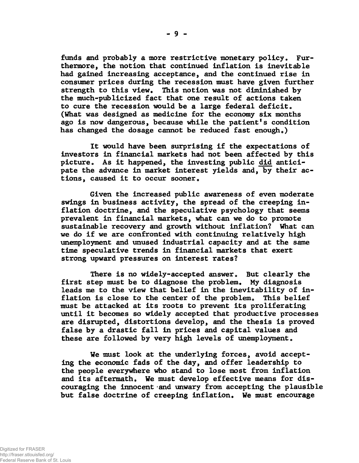**funds and probably a more restrictive monetary policy. Furthermore, the notion that continued inflation is inevitable had gained increasing acceptance, and the continued rise in consumer prices during the recession must have given further strength to this view. This notion was not diminished by the much-publicized fact that one result of actions taken to cure the recession would be a large federal deficit. (What was designed as medicine for the economy six months ago is now dangerous, because while the patient's condition has changed the dosage cannot be reduced fast enough.)**

**It would have been surprising if the expectations of investors in financial markets had not been affected by this picture. As it happened, the investing public did anticipate the advance in market interest yields and, by their actions, caused it to occur sooner.**

**Given the increased public awareness of even moderate swings in business activity, the spread of the creeping inflation doctrine, and the speculative psychology that seems prevalent in financial markets, what can we do to promote sustainable recovery and growth without inflation? What can we do if we are confronted with continuing relatively high unemployment and unused industrial capacity and at the same time speculative trends in financial markets that exert strong upward pressures on interest rates?**

**There is no widely-accepted answer. But clearly the first step must be to diagnose the problem. My diagnosis leads me to the view that belief in the inevitability of inflation is close to the center of the problem. This belief must be attacked at its roots to prevent its proliferating until it becomes so widely accepted that productive processes are disrupted, distortions develop, and the thesis is proved false by a drastic fall in prices and capital values and these are followed by very high levels of unemployment.**

**We must look at the underlying forces, avoid accepting the economic fads of the day, and offer leadership to the people everywhere who stand to lose most from inflation and its aftermath. We must develop effective means for discouraging the innocent and unwary from accepting the plausible but false doctrine of creeping inflation. We must encourage**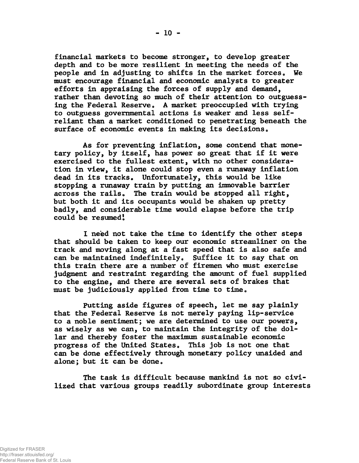**financial markets to become stronger, to develop greater depth and to be more resilient in meeting the needs of the people and in adjusting to shifts in the market forces. We must encourage financial and economic analysts to greater efforts in appraising the forces of supply and demand, rather than devoting so much of their attention to outguessing the Federal Reserve. A market preoccupied with trying to outguess governmental actions is weaker and less selfreliant than a market conditioned to penetrating beneath the surface of economic events in making its decisions.**

**As for preventing inflation, some contend that monetary policy, by itself, has power so great that if it were exercised to the fullest extent, with no other consideration in view, it alone could stop even a runaway inflation** dead in its tracks. Unfortunately, this would be like **stopping a runaway train by putting an immovable barrier across the rails. The train would be stopped all right, but both it and its occupants would be shaken up pretty badly, and considerable time would elapse before the trip could be resumed!**

**I need not take the time to identify the other steps that should be taken to keep our economic streamliner on the track and moving along at a fast speed that is also safe and can be maintained indefinitely. Suffice it to say that on this train there are a number of firemen who must exercise judgment and restraint regarding the amount of fuel supplied to the engine, and there are several sets of brakes that must be judiciously applied from time to time.**

**Putting aside figures of speech, let me say plainly that the Federal Reserve is not merely paying lip-service to a noble sentiment; we are determined to use our powers, as wisely as we can, to maintain the integrity of the dollar and thereby foster the maximum sustainable economic progress of the United States. This job is not one that can be done effectively through monetary policy unaided and alone; but it can be done.**

**The task is difficult because mankind is not so civilized that various groups readily subordinate group interests**